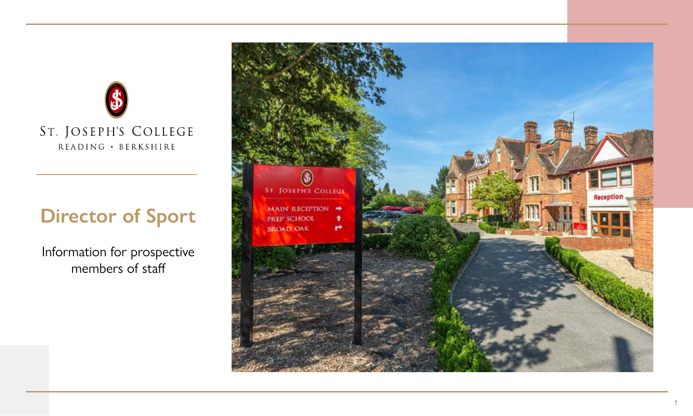

# **Director of Sport**

Information for prospective members of staff

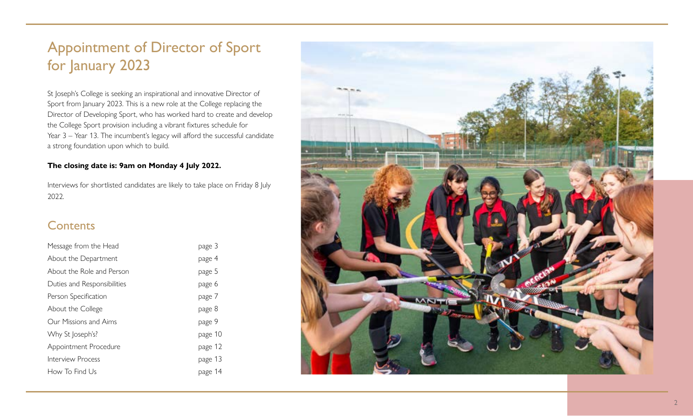## Appointment of Director of Sport for January 2023

St Joseph's College is seeking an inspirational and innovative Director of Sport from January 2023. This is a new role at the College replacing the Director of Developing Sport, who has worked hard to create and develop the College Sport provision including a vibrant fixtures schedule for Year 3 – Year 13. The incumbent's legacy will afford the successful candidate a strong foundation upon which to build.

#### **The closing date is: 9am on Monday 4 July 2022.**

Interviews for shortlisted candidates are likely to take place on Friday 8 July 2022.

### **Contents**

| Message from the Head       | page 3  |
|-----------------------------|---------|
| About the Department        | page 4  |
| About the Role and Person   | page 5  |
| Duties and Responsibilities | page 6  |
| Person Specification        | page 7  |
| About the College           | page 8  |
| Our Missions and Aims       | page 9  |
| Why St Joseph's?            | page 10 |
| Appointment Procedure       | page 12 |
| Interview Process           | page 13 |
| How To Find Us              | page 14 |

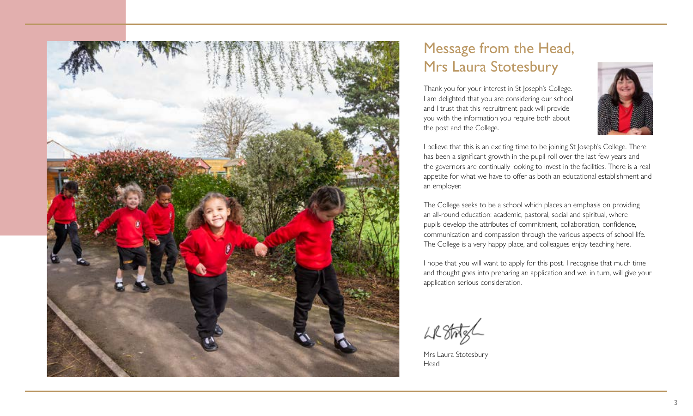

## Message from the Head, Mrs Laura Stotesbury

Thank you for your interest in St Joseph's College. I am delighted that you are considering our school and I trust that this recruitment pack will provide you with the information you require both about the post and the College.



I believe that this is an exciting time to be joining St Joseph's College. There has been a significant growth in the pupil roll over the last few years and the governors are continually looking to invest in the facilities. There is a real appetite for what we have to offer as both an educational establishment and an employer.

The College seeks to be a school which places an emphasis on providing an all-round education: academic, pastoral, social and spiritual, where pupils develop the attributes of commitment, collaboration, confidence, communication and compassion through the various aspects of school life. The College is a very happy place, and colleagues enjoy teaching here.

I hope that you will want to apply for this post. I recognise that much time and thought goes into preparing an application and we, in turn, will give your application serious consideration.

Mrs Laura Stotesbury Head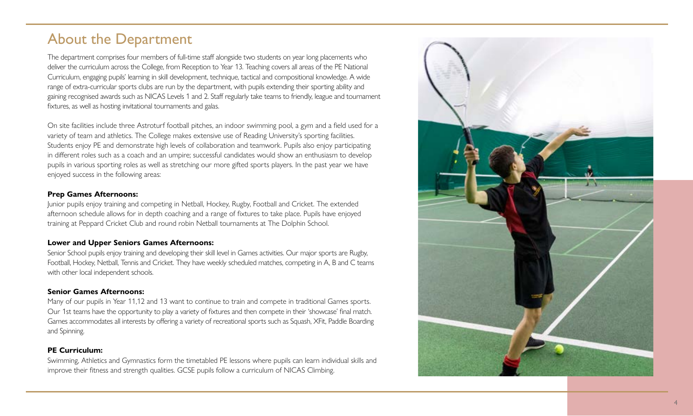## About the Department

The department comprises four members of full-time staff alongside two students on year long placements who deliver the curriculum across the College, from Reception to Year 13. Teaching covers all areas of the PE National Curriculum, engaging pupils' learning in skill development, technique, tactical and compositional knowledge. A wide range of extra-curricular sports clubs are run by the department, with pupils extending their sporting ability and gaining recognised awards such as NICAS Levels 1 and 2. Staff regularly take teams to friendly, league and tournament fixtures, as well as hosting invitational tournaments and galas.

On site facilities include three Astroturf football pitches, an indoor swimming pool, a gym and a field used for a variety of team and athletics. The College makes extensive use of Reading University's sporting facilities. Students enjoy PE and demonstrate high levels of collaboration and teamwork. Pupils also enjoy participating in different roles such as a coach and an umpire; successful candidates would show an enthusiasm to develop pupils in various sporting roles as well as stretching our more gifted sports players. In the past year we have enjoyed success in the following areas:

#### **Prep Games Afternoons:**

Junior pupils enjoy training and competing in Netball, Hockey, Rugby, Football and Cricket. The extended afternoon schedule allows for in depth coaching and a range of fixtures to take place. Pupils have enjoyed training at Peppard Cricket Club and round robin Netball tournaments at The Dolphin School.

#### **Lower and Upper Seniors Games Afternoons:**

Senior School pupils enjoy training and developing their skill level in Games activities. Our major sports are Rugby, Football, Hockey, Netball, Tennis and Cricket. They have weekly scheduled matches, competing in A, B and C teams with other local independent schools.

#### **Senior Games Afternoons:**

Many of our pupils in Year 11,12 and 13 want to continue to train and compete in traditional Games sports. Our 1st teams have the opportunity to play a variety of fixtures and then compete in their 'showcase' final match. Games accommodates all interests by offering a variety of recreational sports such as Squash, XFit, Paddle Boarding and Spinning.

#### **PE Curriculum:**

Swimming, Athletics and Gymnastics form the timetabled PE lessons where pupils can learn individual skills and improve their fitness and strength qualities. GCSE pupils follow a curriculum of NICAS Climbing.

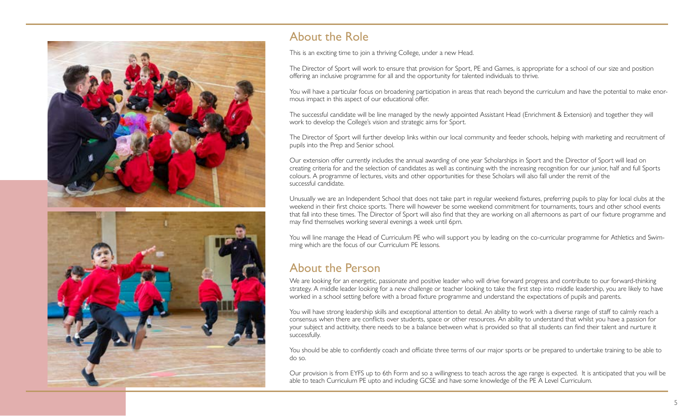

### About the Role

This is an exciting time to join a thriving College, under a new Head.

The Director of Sport will work to ensure that provision for Sport, PE and Games, is appropriate for a school of our size and position offering an inclusive programme for all and the opportunity for talented individuals to thrive.

You will have a particular focus on broadening participation in areas that reach beyond the curriculum and have the potential to make enormous impact in this aspect of our educational offer.

The successful candidate will be line managed by the newly appointed Assistant Head (Enrichment & Extension) and together they will work to develop the College's vision and strategic aims for Sport.

The Director of Sport will further develop links within our local community and feeder schools, helping with marketing and recruitment of pupils into the Prep and Senior school.

Our extension offer currently includes the annual awarding of one year Scholarships in Sport and the Director of Sport will lead on creating criteria for and the selection of candidates as well as continuing with the increasing recognition for our junior, half and full Sports colours. A programme of lectures, visits and other opportunities for these Scholars will also fall under the remit of the successful candidate.

Unusually we are an Independent School that does not take part in regular weekend fixtures, preferring pupils to play for local clubs at the weekend in their first choice sports. There will however be some weekend commitment for tournaments, tours and other school events that fall into these times. The Director of Sport will also find that they are working on all afternoons as part of our fixture programme and may find themselves working several evenings a week until 6pm.

You will line manage the Head of Curriculum PE who will support you by leading on the co-curricular programme for Athletics and Swimming which are the focus of our Curriculum PE lessons.

### About the Person

We are looking for an energetic, passionate and positive leader who will drive forward progress and contribute to our forward-thinking strategy. A middle leader looking for a new challenge or teacher looking to take the first step into middle leadership, you are likely to have worked in a school setting before with a broad fixture programme and understand the expectations of pupils and parents.

You will have strong leadership skills and exceptional attention to detail. An ability to work with a diverse range of staff to calmly reach a consensus when there are conflicts over students, space or other resources. An ability to understand that whilst you have a passion for your subject and actitivity, there needs to be a balance between what is provided so that all students can find their talent and nurture it successfully.

You should be able to confidently coach and officiate three terms of our major sports or be prepared to undertake training to be able to do so.

Our provision is from EYFS up to 6th Form and so a willingness to teach across the age range is expected. It is anticipated that you will be able to teach Curriculum PE upto and including GCSE and have some knowledge of the PE A Level Curriculum.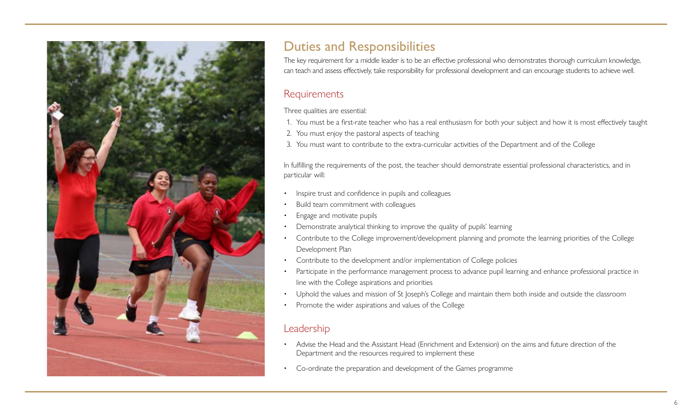

### Duties and Responsibilities

The key requirement for a middle leader is to be an effective professional who demonstrates thorough curriculum knowledge, can teach and assess effectively, take responsibility for professional development and can encourage students to achieve well.

#### **Requirements**

Three qualities are essential:

- 1. You must be a first-rate teacher who has a real enthusiasm for both your subject and how it is most effectively taught
- 2. You must enjoy the pastoral aspects of teaching
- 3. You must want to contribute to the extra-curricular activities of the Department and of the College

In fulfilling the requirements of the post, the teacher should demonstrate essential professional characteristics, and in particular will:

- Inspire trust and confidence in pupils and colleagues
- Build team commitment with colleagues
- Engage and motivate pupils
- Demonstrate analytical thinking to improve the quality of pupils' learning
- Contribute to the College improvement/development planning and promote the learning priorities of the College Development Plan
- Contribute to the development and/or implementation of College policies
- Participate in the performance management process to advance pupil learning and enhance professional practice in line with the College aspirations and priorities
- Uphold the values and mission of St Joseph's College and maintain them both inside and outside the classroom
- Promote the wider aspirations and values of the College

### Leadership

- Advise the Head and the Assistant Head (Enrichment and Extension) on the aims and future direction of the Department and the resources required to implement these
- Co-ordinate the preparation and development of the Games programme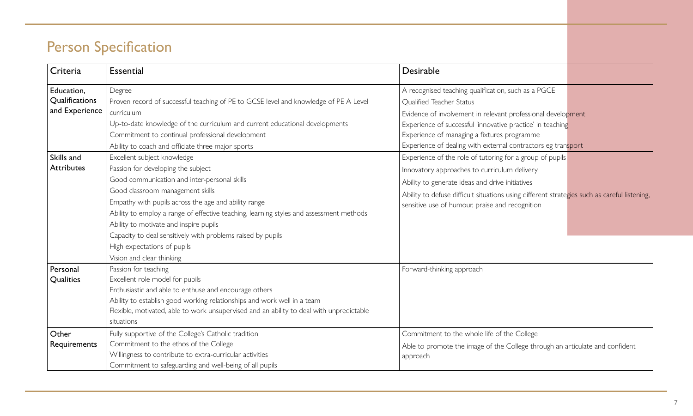## Person Specification

| Criteria                                                     | <b>Essential</b>                                                                                                                                                                                                                                                                                                                                                                                                                               | Desirable                                                                                                                                                                                                                                                                                                                                                                                       |
|--------------------------------------------------------------|------------------------------------------------------------------------------------------------------------------------------------------------------------------------------------------------------------------------------------------------------------------------------------------------------------------------------------------------------------------------------------------------------------------------------------------------|-------------------------------------------------------------------------------------------------------------------------------------------------------------------------------------------------------------------------------------------------------------------------------------------------------------------------------------------------------------------------------------------------|
| Education,<br>Qualifications<br>and Experience<br>Skills and | Degree<br>Proven record of successful teaching of PE to GCSE level and knowledge of PE A Level<br>curriculum<br>Up-to-date knowledge of the curriculum and current educational developments<br>Commitment to continual professional development<br>Ability to coach and officiate three major sports<br>Excellent subject knowledge                                                                                                            | A recognised teaching qualification, such as a PGCE<br><b>Oualified Teacher Status</b><br>Evidence of involvement in relevant professional development<br>Experience of successful 'innovative practice' in teaching<br>Experience of managing a fixtures programme<br>Experience of dealing with external contractors eg transport<br>Experience of the role of tutoring for a group of pupils |
| <b>Attributes</b>                                            | Passion for developing the subject<br>Good communication and inter-personal skills<br>Good classroom management skills<br>Empathy with pupils across the age and ability range<br>Ability to employ a range of effective teaching, learning styles and assessment methods<br>Ability to motivate and inspire pupils<br>Capacity to deal sensitively with problems raised by pupils<br>High expectations of pupils<br>Vision and clear thinking | Innovatory approaches to curriculum delivery<br>Ability to generate ideas and drive initiatives<br>Ability to defuse difficult situations using different strategies such as careful listening,<br>sensitive use of humour, praise and recognition                                                                                                                                              |
| Personal<br>Qualities                                        | Passion for teaching<br>Excellent role model for pupils<br>Enthusiastic and able to enthuse and encourage others<br>Ability to establish good working relationships and work well in a team<br>Flexible, motivated, able to work unsupervised and an ability to deal with unpredictable<br>situations                                                                                                                                          | Forward-thinking approach                                                                                                                                                                                                                                                                                                                                                                       |
| Other<br>Requirements                                        | Fully supportive of the College's Catholic tradition<br>Commitment to the ethos of the College<br>Willingness to contribute to extra-curricular activities<br>Commitment to safeguarding and well-being of all pupils                                                                                                                                                                                                                          | Commitment to the whole life of the College<br>Able to promote the image of the College through an articulate and confident<br>approach                                                                                                                                                                                                                                                         |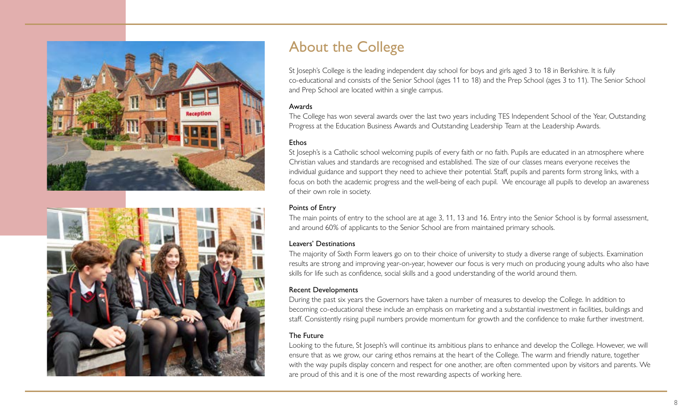



## About the College

St Joseph's College is the leading independent day school for boys and girls aged 3 to 18 in Berkshire. It is fully co-educational and consists of the Senior School (ages 11 to 18) and the Prep School (ages 3 to 11). The Senior School and Prep School are located within a single campus.

#### Awards

The College has won several awards over the last two years including TES Independent School of the Year, Outstanding Progress at the Education Business Awards and Outstanding Leadership Team at the Leadership Awards.

#### **Ethos**

St Joseph's is a Catholic school welcoming pupils of every faith or no faith. Pupils are educated in an atmosphere where Christian values and standards are recognised and established. The size of our classes means everyone receives the individual guidance and support they need to achieve their potential. Staff, pupils and parents form strong links, with a focus on both the academic progress and the well-being of each pupil. We encourage all pupils to develop an awareness of their own role in society.

#### Points of Entry

The main points of entry to the school are at age 3, 11, 13 and 16. Entry into the Senior School is by formal assessment, and around 60% of applicants to the Senior School are from maintained primary schools.

#### Leavers' Destinations

The majority of Sixth Form leavers go on to their choice of university to study a diverse range of subjects. Examination results are strong and improving year-on-year, however our focus is very much on producing young adults who also have skills for life such as confidence, social skills and a good understanding of the world around them.

#### Recent Developments

During the past six years the Governors have taken a number of measures to develop the College. In addition to becoming co-educational these include an emphasis on marketing and a substantial investment in facilities, buildings and staff. Consistently rising pupil numbers provide momentum for growth and the confidence to make further investment.

#### The Future

Looking to the future, St Joseph's will continue its ambitious plans to enhance and develop the College. However, we will ensure that as we grow, our caring ethos remains at the heart of the College. The warm and friendly nature, together with the way pupils display concern and respect for one another, are often commented upon by visitors and parents. We are proud of this and it is one of the most rewarding aspects of working here.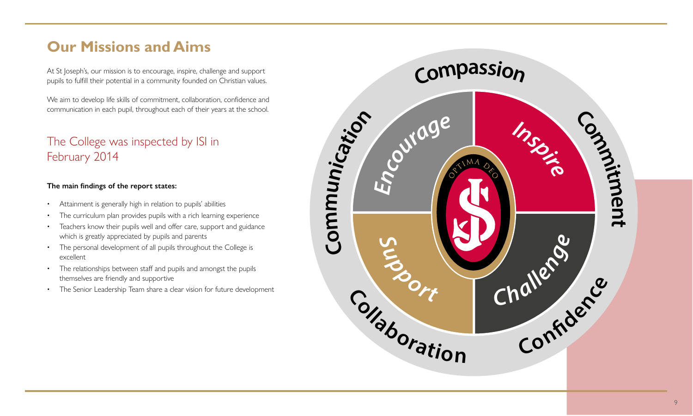## **Our Missions and Aims**

At St Joseph's, our mission is to encourage, inspire, challenge and support pupils to fulfill their potential in a community founded on Christian values.

We aim to develop life skills of commitment, collaboration, confidence and communication in each pupil, throughout each of their years at the school.

### The College was inspected by ISI in February 2014

#### **The main findings of the report states:**

- Attainment is generally high in relation to pupils' abilities
- The curriculum plan provides pupils with a rich learning experience
- Teachers know their pupils well and offer care, support and guidance which is greatly appreciated by pupils and parents
- The personal development of all pupils throughout the College is excellent
- The relationships between staff and pupils and amongst the pupils themselves are friendly and supportive
- The Senior Leadership Team share a clear vision for future development

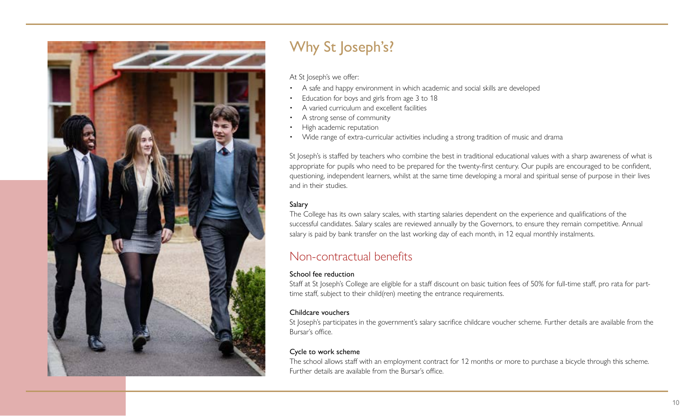

## Why St Joseph's?

At St loseph's we offer:

- A safe and happy environment in which academic and social skills are developed
- Education for boys and girls from age 3 to 18
- A varied curriculum and excellent facilities
- A strong sense of community
- High academic reputation
- Wide range of extra-curricular activities including a strong tradition of music and drama

St Joseph's is staffed by teachers who combine the best in traditional educational values with a sharp awareness of what is appropriate for pupils who need to be prepared for the twenty-first century. Our pupils are encouraged to be confident, questioning, independent learners, whilst at the same time developing a moral and spiritual sense of purpose in their lives and in their studies.

#### Salary

The College has its own salary scales, with starting salaries dependent on the experience and qualifications of the successful candidates. Salary scales are reviewed annually by the Governors, to ensure they remain competitive. Annual salary is paid by bank transfer on the last working day of each month, in 12 equal monthly instalments.

### Non-contractual benefits

#### School fee reduction

Staff at St Joseph's College are eligible for a staff discount on basic tuition fees of 50% for full-time staff, pro rata for parttime staff, subject to their child(ren) meeting the entrance requirements.

#### Childcare vouchers

St Joseph's participates in the government's salary sacrifice childcare voucher scheme. Further details are available from the Bursar's office.

#### Cycle to work scheme

The school allows staff with an employment contract for 12 months or more to purchase a bicycle through this scheme. Further details are available from the Bursar's office.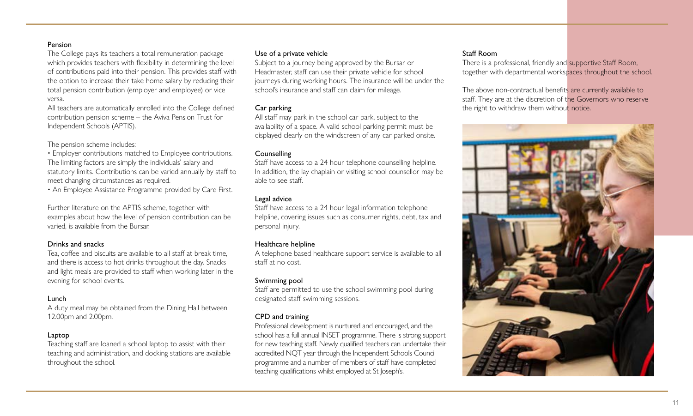#### Pension

The College pays its teachers a total remuneration package which provides teachers with flexibility in determining the level of contributions paid into their pension. This provides staff with the option to increase their take home salary by reducing their total pension contribution (employer and employee) or vice versa.

All teachers are automatically enrolled into the College defined contribution pension scheme – the Aviva Pension Trust for Independent Schools (APTIS).

The pension scheme includes:

• Employer contributions matched to Employee contributions. The limiting factors are simply the individuals' salary and statutory limits. Contributions can be varied annually by staff to meet changing circumstances as required.

• An Employee Assistance Programme provided by Care First.

Further literature on the APTIS scheme, together with examples about how the level of pension contribution can be varied, is available from the Bursar.

#### Drinks and snacks

Tea, coffee and biscuits are available to all staff at break time, and there is access to hot drinks throughout the day. Snacks and light meals are provided to staff when working later in the evening for school events.

#### Lunch

A duty meal may be obtained from the Dining Hall between 12.00pm and 2.00pm.

#### Laptop

Teaching staff are loaned a school laptop to assist with their teaching and administration, and docking stations are available throughout the school.

#### Use of a private vehicle

Subject to a journey being approved by the Bursar or Headmaster, staff can use their private vehicle for school journeys during working hours. The insurance will be under the school's insurance and staff can claim for mileage.

#### Car parking

All staff may park in the school car park, subject to the availability of a space. A valid school parking permit must be displayed clearly on the windscreen of any car parked onsite.

#### **Counselling**

Staff have access to a 24 hour telephone counselling helpline. In addition, the lay chaplain or visiting school counsellor may be able to see staff.

#### Legal advice

Staff have access to a 24 hour legal information telephone helpline, covering issues such as consumer rights, debt, tax and personal injury.

#### Healthcare helpline

A telephone based healthcare support service is available to all staff at no cost.

#### Swimming pool

Staff are permitted to use the school swimming pool during designated staff swimming sessions.

#### CPD and training

Professional development is nurtured and encouraged, and the school has a full annual INSET programme. There is strong support for new teaching staff. Newly qualified teachers can undertake their accredited NQT year through the Independent Schools Council programme and a number of members of staff have completed teaching qualifications whilst employed at St Joseph's.

#### Staff Room

There is a professional, friendly and supportive Staff Room, together with departmental workspaces throughout the school.

The above non-contractual benefits are currently available to staff. They are at the discretion of the Governors who reserve the right to withdraw them without notice.

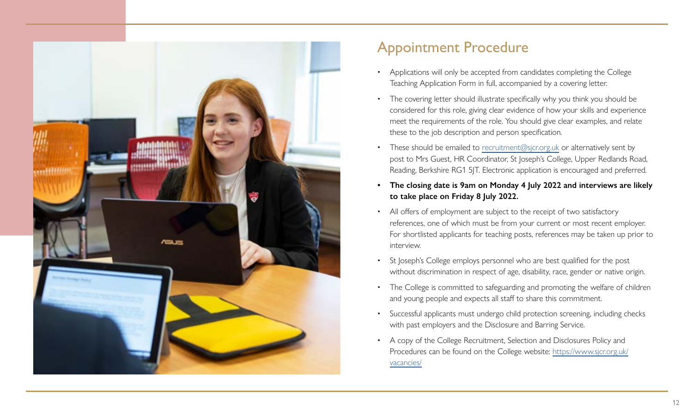

## Appointment Procedure

- Applications will only be accepted from candidates completing the College Teaching Application Form in full, accompanied by a covering letter.
- The covering letter should illustrate specifically why you think you should be considered for this role, giving clear evidence of how your skills and experience meet the requirements of the role. You should give clear examples, and relate these to the job description and person specification.
- These should be emailed to [recruitment@sjcr.org.uk](mailto:recruitment%40sjcr.org.uk?subject=) or alternatively sent by post to Mrs Guest, HR Coordinator, St Joseph's College, Upper Redlands Road, Reading, Berkshire RG1 5JT. Electronic application is encouraged and preferred.
- **• The closing date is 9am on Monday 4 July 2022 and interviews are likely to take place on Friday 8 July 2022.**
- All offers of employment are subject to the receipt of two satisfactory references, one of which must be from your current or most recent employer. For shortlisted applicants for teaching posts, references may be taken up prior to interview.
- St loseph's College employs personnel who are best qualified for the post without discrimination in respect of age, disability, race, gender or native origin.
- The College is committed to safeguarding and promoting the welfare of children and young people and expects all staff to share this commitment.
- Successful applicants must undergo child protection screening, including checks with past employers and the Disclosure and Barring Service.
- A copy of the College Recruitment, Selection and Disclosures Policy and Procedures can be found on the College website: [https://www.sjcr.org.uk/](https://www.sjcr.org.uk/vacancies/) [vacancies/](https://www.sjcr.org.uk/vacancies/)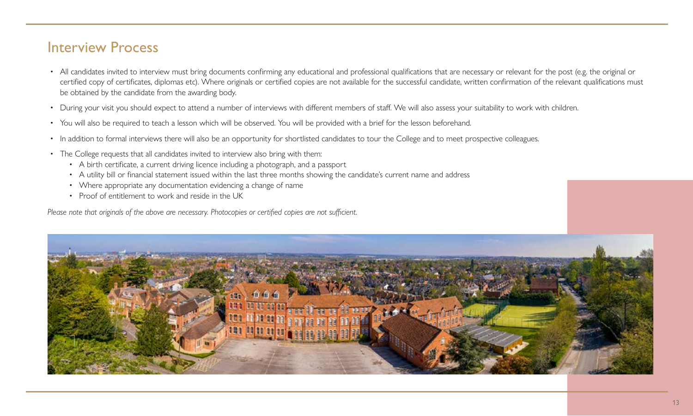### Interview Process

- All candidates invited to interview must bring documents confirming any educational and professional qualifications that are necessary or relevant for the post (e.g. the original or certified copy of certificates, diplomas etc). Where originals or certified copies are not available for the successful candidate, written confirmation of the relevant qualifications must be obtained by the candidate from the awarding body.
- During your visit you should expect to attend a number of interviews with different members of staff. We will also assess your suitability to work with children.
- You will also be required to teach a lesson which will be observed. You will be provided with a brief for the lesson beforehand.
- In addition to formal interviews there will also be an opportunity for shortlisted candidates to tour the College and to meet prospective colleagues.
- The College requests that all candidates invited to interview also bring with them:
	- A birth certificate, a current driving licence including a photograph, and a passport
	- A utility bill or financial statement issued within the last three months showing the candidate's current name and address
	- Where appropriate any documentation evidencing a change of name
	- Proof of entitlement to work and reside in the UK

*Please note that originals of the above are necessary. Photocopies or certified copies are not sufficient.*